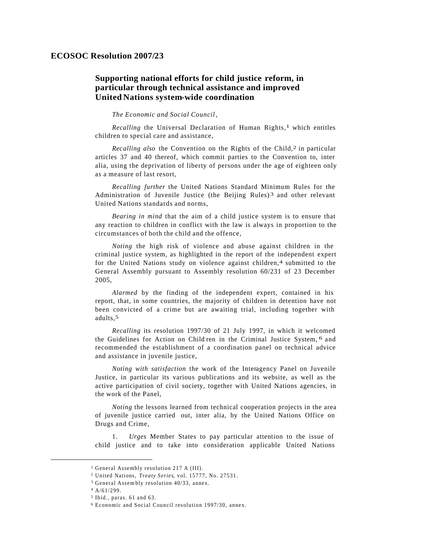## **Supporting national efforts for child justice reform, in particular through technical assistance and improved United Nations system-wide coordination**

## *The Economic and Social Council* ,

*Recalling* the Universal Declaration of Human Rights,<sup>1</sup> which entitles children to special care and assistance,

*Recalling also* the Convention on the Rights of the Child,<sup>2</sup> in particular articles 37 and 40 thereof, which commit parties to the Convention to, inter alia, using the deprivation of liberty of persons under the age of eighteen only as a measure of last resort,

*Recalling further* the United Nations Standard Minimum Rules for the Administration of Juvenile Justice (the Beijing Rules) 3 and other relevant United Nations standards and norms,

*Bearing in mind* that the aim of a child justice system is to ensure that any reaction to children in conflict with the law is always in proportion to the circumstances of both the child and the offence,

*Noting* the high risk of violence and abuse against children in the criminal justice system, as highlighted in the report of the independent expert for the United Nations study on violence against children,<sup>4</sup> submitted to the General Assembly pursuant to Assembly resolution 60/231 of 23 December 2005,

*Alarmed* by the finding of the independent expert, contained in his report, that, in some countries, the majority of children in detention have not been convicted of a crime but are awaiting trial, including together with adults,5

*Recalling* its resolution 1997/30 of 21 July 1997, in which it welcomed the Guidelines for Action on Child ren in the Criminal Justice System, 6 and recommended the establishment of a coordination panel on technical advice and assistance in juvenile justice,

*Noting with satisfaction* the work of the Interagency Panel on Juvenile Justice, in particular its various publications and its website, as well as the active participation of civil society, together with United Nations agencies, in the work of the Panel,

*Noting* the lessons learned from technical cooperation projects in the area of juvenile justice carried out, inter alia, by the United Nations Office on Drugs and Crime,

1. *Urges* Member States to pay particular attention to the issue of child justice and to take into consideration applicable United Nations

 $\overline{a}$ 

<sup>&</sup>lt;sup>1</sup> General Assembly resolution 217 A (III).

<sup>2</sup> United Nations, *Treaty Series*, vol. 15777, No. 27531.

<sup>3</sup> General Assem bly resolution 40/33, annex.

<sup>4</sup> A/61/299.

<sup>5</sup> Ibid., paras. 61 and 63.

<sup>6</sup> Economic and Social Council resolution 1997/30, annex.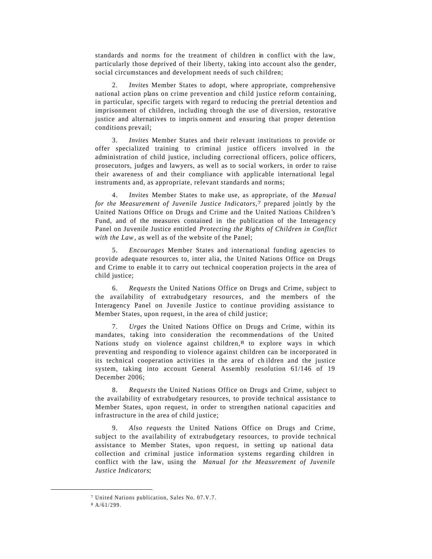standards and norms for the treatment of children in conflict with the law, particularly those deprived of their liberty, taking into account also the gender, social circumstances and development needs of such children;

2. *Invites* Member States to adopt, where appropriate, comprehensive national action plans on crime prevention and child justice reform containing, in particular, specific targets with regard to reducing the pretrial detention and imprisonment of children, including through the use of diversion, restorative justice and alternatives to impris onment and ensuring that proper detention conditions prevail;

3. *Invites* Member States and their relevant institutions to provide or offer specialized training to criminal justice officers involved in the administration of child justice, including correctional officers, police officers, prosecutors, judges and lawyers, as well as to social workers, in order to raise their awareness of and their compliance with applicable international legal instruments and, as appropriate, relevant standards and norms;

4. *Invites* Member States to make use, as appropriate, of the *Manual for the Measurement of Juvenile Justice Indicators*, 7 prepared jointly by the United Nations Office on Drugs and Crime and the United Nations Children's Fund, and of the measures contained in the publication of the Interagency Panel on Juvenile Justice entitled *Protecting the Rights of Children in Conflict with the Law*, as well as of the website of the Panel;

5. *Encourages* Member States and international funding agencies to provide adequate resources to, inter alia, the United Nations Office on Drugs and Crime to enable it to carry out technical cooperation projects in the area of child justice;

6. *Requests* the United Nations Office on Drugs and Crime, subject to the availability of extrabudg etary resources, and the members of the Interagency Panel on Juvenile Justice to continue providing assistance to Member States, upon request, in the area of child justice;

7. *Urges* the United Nations Office on Drugs and Crime, within its mandates, taking into consideration the recommendations of the United Nations study on violence against children,<sup>8</sup> to explore ways in which preventing and responding to violence against children can be incorporated in its technical cooperation activities in the area of ch ildren and the justice system, taking into account General Assembly resolution 61/146 of 19 December 2006;

8. *Requests* the United Nations Office on Drugs and Crime, subject to the availability of extrabudgetary resources, to provide technical assistance to Member States, upon request, in order to strengthen national capacities and infrastructure in the area of child justice;

Also requests the United Nations Office on Drugs and Crime, subject to the availability of extrabudgetary resources, to provide technical assistance to Member States, upon request, in setting up national data collection and criminal justice information systems regarding children in conflict with the law, using the *Manual for the Measurement of Juvenile Justice Indicators*;

 $\overline{a}$ 

<sup>7</sup> United Nations publication, Sales No. 07.V.7.

<sup>8</sup> A/61/299.